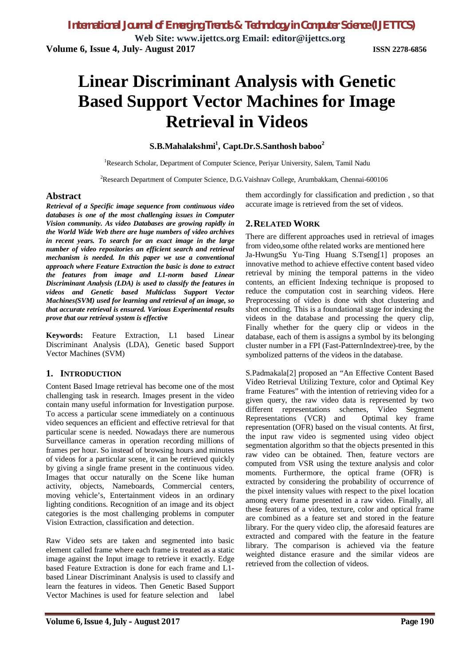*International Journal of Emerging Trends & Technology in Computer Science (IJETTCS)*

**Web Site: www.ijettcs.org Email: editor@ijettcs.org Volume 6, Issue 4, July- August 2017 ISSN 2278-6856**

# **Linear Discriminant Analysis with Genetic Based Support Vector Machines for Image Retrieval in Videos**

**S.B.Mahalakshmi<sup>1</sup> , Capt.Dr.S.Santhosh baboo<sup>2</sup>**

<sup>1</sup>Research Scholar, Department of Computer Science, Periyar University, Salem, Tamil Nadu

<sup>2</sup>Research Department of Computer Science, D.G.Vaishnav College, Arumbakkam, Chennai-600106

#### **Abstract**

*Retrieval of a Specific image sequence from continuous video databases is one of the most challenging issues in Computer Vision community. As video Databases are growing rapidly in the World Wide Web there are huge numbers of video archives in recent years. To search for an exact image in the large number of video repositories an efficient search and retrieval mechanism is needed. In this paper we use a conventional approach where Feature Extraction the basic is done to extract the features from image and L1-norm based Linear Discriminant Analysis (LDA) is used to classify the features in videos and Genetic based Multiclass Support Vector Machines(SVM) used for learning and retrieval of an image, so that accurate retrieval is ensured. Various Experimental results prove that our retrieval system is effective*

**Keywords:** Feature Extraction, L1 based Linear Discriminant Analysis (LDA), Genetic based Support Vector Machines (SVM)

### **1. INTRODUCTION**

Content Based Image retrieval has become one of the most challenging task in research. Images present in the video contain many useful information for Investigation purpose. To access a particular scene immediately on a continuous video sequences an efficient and effective retrieval for that particular scene is needed. Nowadays there are numerous Surveillance cameras in operation recording millions of frames per hour. So instead of browsing hours and minutes of videos for a particular scene, it can be retrieved quickly by giving a single frame present in the continuous video. Images that occur naturally on the Scene like human activity, objects, Nameboards, Commercial centers, moving vehicle's, Entertainment videos in an ordinary lighting conditions. Recognition of an image and its object categories is the most challenging problems in computer Vision Extraction, classification and detection.

Raw Video sets are taken and segmented into basic element called frame where each frame is treated as a static image against the Input image to retrieve it exactly. Edge based Feature Extraction is done for each frame and L1 based Linear Discriminant Analysis is used to classify and learn the features in videos. Then Genetic Based Support Vector Machines is used for feature selection and label

them accordingly for classification and prediction , so that accurate image is retrieved from the set of videos.

### **2.RELATED WORK**

There are different approaches used in retrieval of images from video,some ofthe related works are mentioned here Ja-HwungSu Yu-Ting Huang S.Tseng[1] proposes an innovative method to achieve effective content based video retrieval by mining the temporal patterns in the video contents, an efficient Indexing technique is proposed to reduce the computation cost in searching videos. Here Preprocessing of video is done with shot clustering and shot encoding. This is a foundational stage for indexing the videos in the database and processing the query clip, Finally whether for the query clip or videos in the database, each of them is assigns a symbol by its belonging cluster number in a FPI (Fast-PatternIndextree)-tree, by the symbolized patterns of the videos in the database.

S.Padmakala[2] proposed an "An Effective Content Based Video Retrieval Utilizing Texture, color and Optimal Key frame Features" with the intention of retrieving video for a given query, the raw video data is represented by two different representations schemes, Video Segment Representations (VCR) and Optimal key frame representation (OFR) based on the visual contents. At first, the input raw video is segmented using video object segmentation algorithm so that the objects presented in this raw video can be obtained. Then, feature vectors are computed from VSR using the texture analysis and color moments. Furthermore, the optical frame (OFR) is extracted by considering the probability of occurrence of the pixel intensity values with respect to the pixel location among every frame presented in a raw video. Finally, all these features of a video, texture, color and optical frame are combined as a feature set and stored in the feature library. For the query video clip, the aforesaid features are extracted and compared with the feature in the feature library. The comparison is achieved via the feature weighted distance erasure and the similar videos are retrieved from the collection of videos.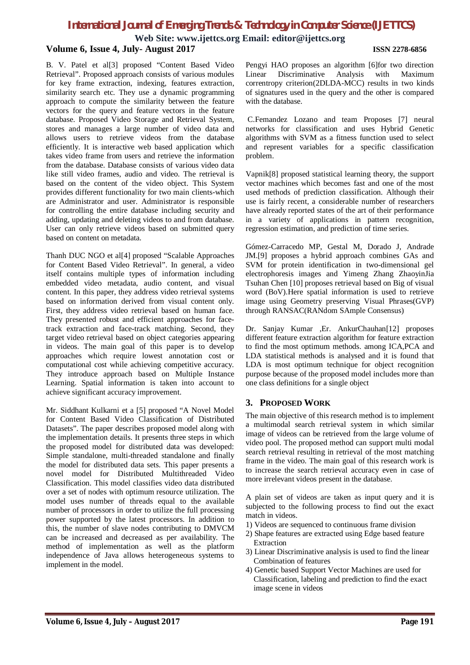# *International Journal of Emerging Trends & Technology in Computer Science (IJETTCS)*

**Web Site: www.ijettcs.org Email: editor@ijettcs.org Volume 6, Issue 4, July- August 2017 ISSN 2278-6856**

B. V. Patel et al[3] proposed "Content Based Video Retrieval". Proposed approach consists of various modules for key frame extraction, indexing, features extraction, similarity search etc. They use a dynamic programming approach to compute the similarity between the feature vectors for the query and feature vectors in the feature database. Proposed Video Storage and Retrieval System, stores and manages a large number of video data and allows users to retrieve videos from the database efficiently. It is interactive web based application which takes video frame from users and retrieve the information from the database. Database consists of various video data like still video frames, audio and video. The retrieval is based on the content of the video object. This System provides different functionality for two main clients-which are Administrator and user. Administrator is responsible for controlling the entire database including security and adding, updating and deleting videos to and from database. User can only retrieve videos based on submitted query based on content on metadata.

Thanh DUC NGO et al[4] proposed "Scalable Approaches for Content Based Video Retrieval". In general, a video itself contains multiple types of information including embedded video metadata, audio content, and visual content. In this paper, they address video retrieval systems based on information derived from visual content only. First, they address video retrieval based on human face. They presented robust and efficient approaches for facetrack extraction and face-track matching. Second, they target video retrieval based on object categories appearing in videos. The main goal of this paper is to develop approaches which require lowest annotation cost or computational cost while achieving competitive accuracy. They introduce approach based on Multiple Instance Learning. Spatial information is taken into account to achieve significant accuracy improvement.

Mr. Siddhant Kulkarni et a [5] proposed "A Novel Model for Content Based Video Classification of Distributed Datasets". The paper describes proposed model along with the implementation details. It presents three steps in which the proposed model for distributed data was developed: Simple standalone, multi-threaded standalone and finally the model for distributed data sets. This paper presents a novel model for Distributed Multithreaded Video Classification. This model classifies video data distributed over a set of nodes with optimum resource utilization. The model uses number of threads equal to the available number of processors in order to utilize the full processing power supported by the latest processors. In addition to this, the number of slave nodes contributing to DMVCM can be increased and decreased as per availability. The method of implementation as well as the platform independence of Java allows heterogeneous systems to implement in the model.

Pengyi HAO proposes an algorithm [6]for two direction Linear Discriminative Analysis with Maximum correntropy criterion(2DLDA-MCC) results in two kinds of signatures used in the query and the other is compared with the database.

C.Femandez Lozano and team Proposes [7] neural networks for classification and uses Hybrid Genetic algorithms with SVM as a fitness function used to select and represent variables for a specific classification problem.

Vapnik[8] proposed statistical learning theory, the support vector machines which becomes fast and one of the most used methods of prediction classification. Although their use is fairly recent, a considerable number of researchers have already reported states of the art of their performance in a variety of applications in pattern recognition, regression estimation, and prediction of time series.

Gómez-Carracedo MP, Gestal M, Dorado J, Andrade JM.[9] proposes a hybrid approach combines GAs and SVM for protein identification in two-dimensional gel electrophoresis images and Yimeng Zhang ZhaoyinJia Tsuhan Chen [10] proposes retrieval based on Big of visual word (BoV).Here spatial information is used to retrieve image using Geometry preserving Visual Phrases(GVP) through RANSAC(RANdom SAmple Consensus)

Dr. Sanjay Kumar ,Er. AnkurChauhan[12] proposes different feature extraction algorithm for feature extraction to find the most optimum methods. among ICA,PCA and LDA statistical methods is analysed and it is found that LDA is most optimum technique for object recognition purpose because of the proposed model includes more than one class definitions for a single object

## **3. PROPOSED WORK**

The main objective of this research method is to implement a multimodal search retrieval system in which similar image of videos can be retrieved from the large volume of video pool. The proposed method can support multi modal search retrieval resulting in retrieval of the most matching frame in the video. The main goal of this research work is to increase the search retrieval accuracy even in case of more irrelevant videos present in the database.

A plain set of videos are taken as input query and it is subjected to the following process to find out the exact match in videos.

- 1) Videos are sequenced to continuous frame division
- 2) Shape features are extracted using Edge based feature Extraction
- 3) Linear Discriminative analysis is used to find the linear Combination of features
- 4) Genetic based Support Vector Machines are used for Classification, labeling and prediction to find the exact image scene in videos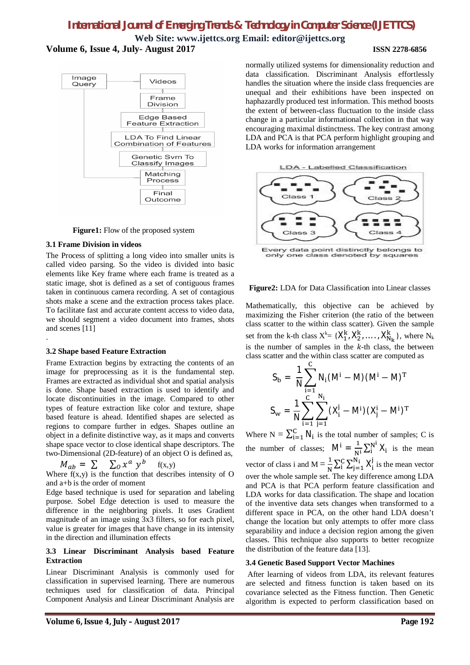# *International Journal of Emerging Trends & Technology in Computer Science (IJETTCS)*

**Web Site: www.ijettcs.org Email: editor@ijettcs.org Volume 6, Issue 4, July- August 2017 ISSN 2278-6856**



**Figure1:** Flow of the proposed system

#### **3.1 Frame Division in videos**

The Process of splitting a long video into smaller units is called video parsing. So the video is divided into basic elements like Key frame where each frame is treated as a static image, shot is defined as a set of contiguous frames taken in continuous camera recording. A set of contagious shots make a scene and the extraction process takes place. To facilitate fast and accurate content access to video data, we should segment a video document into frames, shots and scenes [11] .

#### **3.2 Shape based Feature Extraction**

Frame Extraction begins by extracting the contents of an image for preprocessing as it is the fundamental step. Frames are extracted as individual shot and spatial analysis is done. Shape based extraction is used to identify and locate discontinuities in the image. Compared to other types of feature extraction like color and texture, shape based feature is ahead. Identified shapes are selected as regions to compare further in edges. Shapes outline an object in a definite distinctive way, as it maps and converts shape space vector to close identical shape descriptors. The two-Dimensional (2D-feature) of an object O is defined as,

$$
M_{ab} = \sum \sum_{o} x^a y^b
$$
 f(x,y)

Where  $f(x,y)$  is the function that describes intensity of O and a+b is the order of moment

Edge based technique is used for separation and labeling purpose. Sobel Edge detection is used to measure the difference in the neighboring pixels. It uses Gradient magnitude of an image using 3x3 filters, so for each pixel, value is greater for images that have change in its intensity in the direction and illumination effects

#### **3.3 Linear Discriminant Analysis based Feature Extraction**

Linear Discriminant Analysis is commonly used for classification in supervised learning. There are numerous techniques used for classification of data. Principal Component Analysis and Linear Discriminant Analysis are

normally utilized systems for dimensionality reduction and data classification. Discriminant Analysis effortlessly handles the situation where the inside class frequencies are unequal and their exhibitions have been inspected on haphazardly produced test information. This method boosts the extent of between-class fluctuation to the inside class change in a particular informational collection in that way encouraging maximal distinctness. The key contrast among LDA and PCA is that PCA perform highlight grouping and LDA works for information arrangement





Every data point distinctly belongs to<br>only one class denoted by squares

#### **Figure2:** LDA for Data Classification into Linear classes

Mathematically, this objective can be achieved by maximizing the Fisher criterion (the ratio of the between class scatter to the within class scatter). Given the sample set from the k-th class  $X^k = \{X_1^k, X_2^k, \dots, X_{N_k}^k\}$ , where  $N_k$ is the number of samples in the  $k$ -th class, the between class scatter and the within class scatter are computed as

$$
S_{b} = \frac{1}{N} \sum_{i=1}^{C} N_{i} (M^{i} - M) (M^{i} - M)^{T}
$$

$$
S_{w} = \frac{1}{N} \sum_{i=1}^{C} \sum_{j=1}^{N_{i}} (X_{i}^{j} - M^{i}) (X_{j}^{i} - M^{i})^{T}
$$

Where  $N = \sum_{i=1}^{C} N_i$  is the total number of samples; C is the number of classes;  $M^i = \frac{1}{N^i} \sum_i^{N^i} X_i$  is the mean vector of class i and  $M = \frac{1}{N}$  $\frac{1}{N} \sum_{i}^{C} \sum_{j=1}^{N_i} X_i^j$  $j=1$  $\sum_{i=1}^{S} X_i^j$  is the mean vector over the whole sample set. The key difference among LDA and PCA is that PCA perform feature classification and LDA works for data classification. The shape and location of the inventive data sets changes when transformed to a different space in PCA, on the other hand LDA doesn't change the location but only attempts to offer more class separability and induce a decision region among the given classes. This technique also supports to better recognize the distribution of the feature data [13].

#### **3.4 Genetic Based Support Vector Machines**

After learning of videos from LDA, its relevant features are selected and fitness function is taken based on its covariance selected as the Fitness function. Then Genetic algorithm is expected to perform classification based on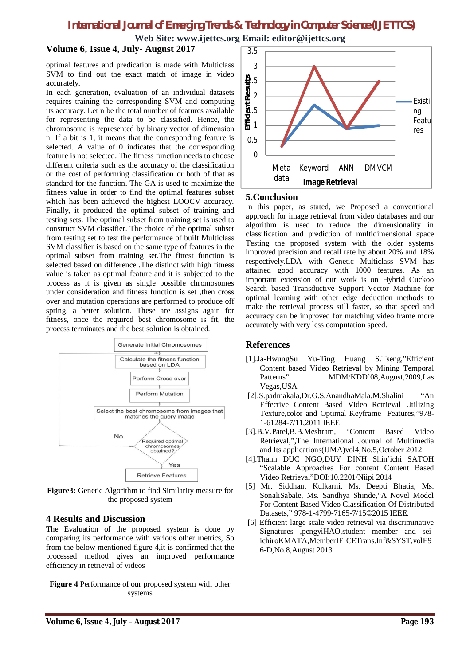# *International Journal of Emerging Trends & Technology in Computer Science (IJETTCS)* **Web Site: www.ijettcs.org Email: editor@ijettcs.org**

### **Volume 6, Issue 4, July-August 2017**

optimal features and predication is made with Multiclass SVM to find out the exact match of image in video accurately.

In each generation, evaluation of an individual datasets requires training the corresponding SVM and computing its accuracy. Let n be the total number of features available for representing the data to be classified. Hence, the chromosome is represented by binary vector of dimension n. If a bit is 1, it means that the corresponding feature is selected. A value of 0 indicates that the corresponding feature is not selected. The fitness function needs to choose different criteria such as the accuracy of the classification or the cost of performing classification or both of that as standard for the function. The GA is used to maximize the fitness value in order to find the optimal features subset which has been achieved the highest LOOCV accuracy. Finally, it produced the optimal subset of training and testing sets. The optimal subset from training set is used to construct SVM classifier. The choice of the optimal subset from testing set to test the performance of built Multiclass SVM classifier is based on the same type of features in the optimal subset from training set.The fittest function is selected based on difference .The distinct with high fitness value is taken as optimal feature and it is subjected to the process as it is given as single possible chromosomes under consideration and fitness function is set ,then cross over and mutation operations are performed to produce off spring, a better solution. These are assigns again for fitness, once the required best chromosome is fit, the process terminates and the best solution is obtained.



**Figure3:** Genetic Algorithm to find Similarity measure for the proposed system

#### **4 Results and Discussion**

The Evaluation of the proposed system is done by comparing its performance with various other metrics, So from the below mentioned figure 4,it is confirmed that the processed method gives an improved performance efficiency in retrieval of videos

**Figure 4** Performance of our proposed system with other systems



### **5.Conclusion**

In this paper, as stated, we Proposed a conventional approach for image retrieval from video databases and our algorithm is used to reduce the dimensionality in classification and prediction of multidimensional space Testing the proposed system with the older systems improved precision and recall rate by about 20% and 18% respectively.LDA with Genetic Multiclass SVM has attained good accuracy with 1000 features. As an important extension of our work is on Hybrid Cuckoo Search based Transductive Support Vector Machine for optimal learning with other edge deduction methods to make the retrieval process still faster, so that speed and accuracy can be improved for matching video frame more accurately with very less computation speed.

### **References**

- [1].Ja-HwungSu Yu-Ting Huang S.Tseng,"Efficient Content based Video Retrieval by Mining Temporal Patterns" MDM/KDD'08,August,2009,Las Vegas,USA
- [2].S.padmakala,Dr.G.S.AnandhaMala,M.Shalini "An Effective Content Based Video Retrieval Utilizing Texture,color and Optimal Keyframe Features,"978- 1-61284-7/11,2011 IEEE
- [3].B.V.Patel,B.B.Meshram, "Content Based Video Retrieval,",The International Journal of Multimedia and Its applications(IJMA)vol4,No.5,October 2012
- [4].Thanh DUC NGO,DUY DINH Shin'ichi SATOH "Scalable Approaches For content Content Based Video Retrieval"DOI:10.2201/Niipi 2014
- [5] Mr. Siddhant Kulkarni, Ms. Deepti Bhatia, Ms. SonaliSabale, Ms. Sandhya Shinde,"A Novel Model For Content Based Video Classification Of Distributed Datasets," 978-1-4799-7165-7/15©2015 IEEE.
- [6] Efficient large scale video retrieval via discriminative Signatures ,pengyiHAO,student member and seiichiroKMATA,MemberIEICETrans.Inf&SYST,volE9 6-D,No.8,August 2013